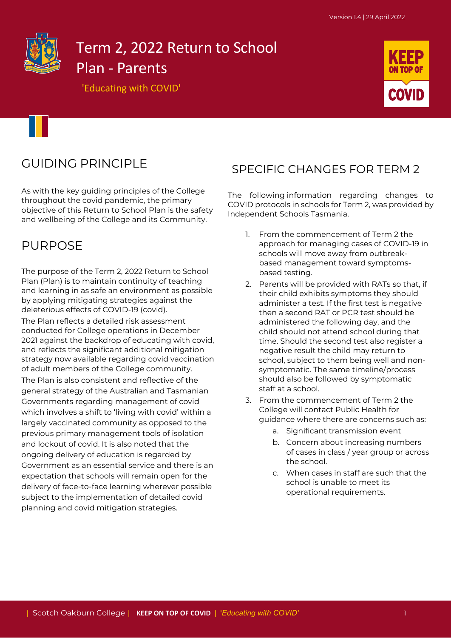





# GUIDING PRINCIPLE

As with the key guiding principles of the College throughout the covid pandemic, the primary objective of this Return to School Plan is the safety and wellbeing of the College and its Community.

# PURPOSE

The purpose of the Term 2, 2022 Return to School Plan (Plan) is to maintain continuity of teaching and learning in as safe an environment as possible by applying mitigating strategies against the deleterious effects of COVID-19 (covid).

The Plan reflects a detailed risk assessment conducted for College operations in December 2021 against the backdrop of educating with covid, and reflects the significant additional mitigation strategy now available regarding covid vaccination of adult members of the College community. The Plan is also consistent and reflective of the general strategy of the Australian and Tasmanian Governments regarding management of covid which involves a shift to 'living with covid' within a largely vaccinated community as opposed to the previous primary management tools of isolation and lockout of covid. It is also noted that the ongoing delivery of education is regarded by Government as an essential service and there is an expectation that schools will remain open for the delivery of face-to-face learning wherever possible subject to the implementation of detailed covid planning and covid mitigation strategies.

### SPECIFIC CHANGES FOR TERM 2

The following information regarding changes to COVID protocols in schools for Term 2, was provided by Independent Schools Tasmania.

- 1. From the commencement of Term 2 the approach for managing cases of COVID-19 in schools will move away from outbreakbased management toward symptomsbased testing.
- 2. Parents will be provided with RATs so that, if their child exhibits symptoms they should administer a test. If the first test is negative then a second RAT or PCR test should be administered the following day, and the child should not attend school during that time. Should the second test also register a negative result the child may return to school, subject to them being well and nonsymptomatic. The same timeline/process should also be followed by symptomatic staff at a school.
- 3. From the commencement of Term 2 the College will contact Public Health for guidance where there are concerns such as:
	- a. Significant transmission event
	- b. Concern about increasing numbers of cases in class / year group or across the school.
	- c. When cases in staff are such that the school is unable to meet its operational requirements.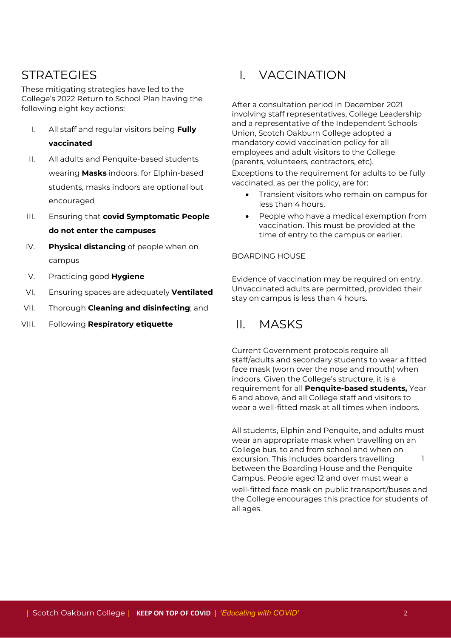## **STRATEGIES**

These mitigating strategies have led to the College's 2022 Return to School Plan having the following eight key actions:

- I. All staff and regular visitors being **Fully vaccinated**
- II. All adults and Penquite-based students wearing **Masks** indoors; for Elphin-based students, masks indoors are optional but encouraged
- III. Ensuring that **covid Symptomatic People do not enter the campuses**
- IV. **Physical distancing** of people when on campus
- V. Practicing good **Hygiene**
- VI. Ensuring spaces are adequately **Ventilated**
- VII. Thorough **Cleaning and disinfecting**; and
- VIII. Following **Respiratory etiquette**

### I. VACCINATION

After a consultation period in December 2021 involving staff representatives, College Leadership and a representative of the Independent Schools Union, Scotch Oakburn College adopted a mandatory covid vaccination policy for all employees and adult visitors to the College (parents, volunteers, contractors, etc).

Exceptions to the requirement for adults to be fully vaccinated, as per the policy, are for:

- Transient visitors who remain on campus for less than 4 hours.
- People who have a medical exemption from vaccination. This must be provided at the time of entry to the campus or earlier.

#### BOARDING HOUSE

Evidence of vaccination may be required on entry. Unvaccinated adults are permitted, provided their stay on campus is less than 4 hours.

### II. MASKS

Current Government protocols require all staff/adults and secondary students to wear a fitted face mask (worn over the nose and mouth) when indoors. Given the College's structure, it is a requirement for all **Penquite-based students,** Year 6 and above, and all College staff and visitors to wear a well-fitted mask at all times when indoors.

All students, Elphin and Penquite, and adults must wear an appropriate mask when travelling on an College bus, to and from school and when on excursion. This includes boarders travelling between the Boarding House and the Penquite Campus. People aged 12 and over must wear a 1

well-fitted face mask on public transport/buses and the College encourages this practice for students of all ages.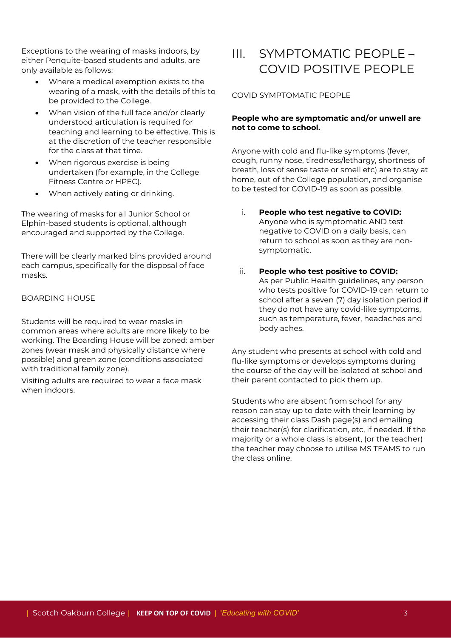Exceptions to the wearing of masks indoors, by either Penquite-based students and adults, are only available as follows:

- Where a medical exemption exists to the wearing of a mask, with the details of this to be provided to the College.
- When vision of the full face and/or clearly understood articulation is required for teaching and learning to be effective. This is at the discretion of the teacher responsible for the class at that time.
- When rigorous exercise is being undertaken (for example, in the College Fitness Centre or HPEC).
- When actively eating or drinking.

The wearing of masks for all Junior School or Elphin-based students is optional, although encouraged and supported by the College.

There will be clearly marked bins provided around each campus, specifically for the disposal of face masks.

#### BOARDING HOUSE

Students will be required to wear masks in common areas where adults are more likely to be working. The Boarding House will be zoned: amber zones (wear mask and physically distance where possible) and green zone (conditions associated with traditional family zone).

Visiting adults are required to wear a face mask when indoors.

### III. SYMPTOMATIC PEOPLE – COVID POSITIVE PEOPLE

#### COVID SYMPTOMATIC PEOPLE

#### **People who are symptomatic and/or unwell are not to come to school.**

Anyone with cold and flu-like symptoms (fever, cough, runny nose, tiredness/lethargy, shortness of breath, loss of sense taste or smell etc) are to stay at home, out of the College population, and organise to be tested for COVID-19 as soon as possible.

- i. **People who test negative to COVID:** Anyone who is symptomatic AND test negative to COVID on a daily basis, can return to school as soon as they are nonsymptomatic.
- ii. **People who test positive to COVID:** As per Public Health guidelines, any person who tests positive for COVID-19 can return to school after a seven (7) day isolation period if they do not have any covid-like symptoms, such as temperature, fever, headaches and body aches.

Any student who presents at school with cold and flu-like symptoms or develops symptoms during the course of the day will be isolated at school and their parent contacted to pick them up.

Students who are absent from school for any reason can stay up to date with their learning by accessing their class Dash page(s) and emailing their teacher(s) for clarification, etc, if needed. If the majority or a whole class is absent, (or the teacher) the teacher may choose to utilise MS TEAMS to run the class online.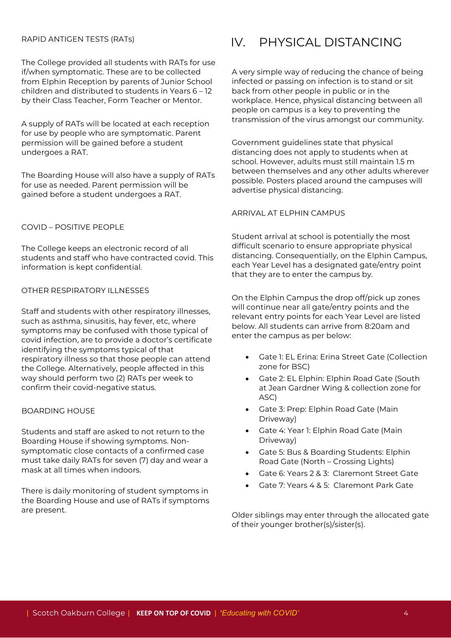#### RAPID ANTIGEN TESTS (RATs)

The College provided all students with RATs for use if/when symptomatic. These are to be collected from Elphin Reception by parents of Junior School children and distributed to students in Years 6 – 12 by their Class Teacher, Form Teacher or Mentor.

A supply of RATs will be located at each reception for use by people who are symptomatic. Parent permission will be gained before a student undergoes a RAT.

The Boarding House will also have a supply of RATs for use as needed. Parent permission will be gained before a student undergoes a RAT.

#### COVID – POSITIVE PEOPLE

The College keeps an electronic record of all students and staff who have contracted covid. This information is kept confidential.

#### OTHER RESPIRATORY ILLNESSES

Staff and students with other respiratory illnesses, such as asthma, sinusitis, hay fever, etc, where symptoms may be confused with those typical of covid infection, are to provide a doctor's certificate identifying the symptoms typical of that respiratory illness so that those people can attend the College. Alternatively, people affected in this way should perform two (2) RATs per week to confirm their covid-negative status.

#### BOARDING HOUSE

Students and staff are asked to not return to the Boarding House if showing symptoms. Nonsymptomatic close contacts of a confirmed case must take daily RATs for seven (7) day and wear a mask at all times when indoors.

There is daily monitoring of student symptoms in the Boarding House and use of RATs if symptoms are present.

# IV. PHYSICAL DISTANCING

A very simple way of reducing the chance of being infected or passing on infection is to stand or sit back from other people in public or in the workplace. Hence, physical distancing between all people on campus is a key to preventing the transmission of the virus amongst our community.

Government guidelines state that physical distancing does not apply to students when at school. However, adults must still maintain 1.5 m between themselves and any other adults wherever possible. Posters placed around the campuses will advertise physical distancing.

#### ARRIVAL AT ELPHIN CAMPUS

Student arrival at school is potentially the most difficult scenario to ensure appropriate physical distancing. Consequentially, on the Elphin Campus, each Year Level has a designated gate/entry point that they are to enter the campus by.

On the Elphin Campus the drop off/pick up zones will continue near all gate/entry points and the relevant entry points for each Year Level are listed below. All students can arrive from 8:20am and enter the campus as per below:

- Gate 1: EL Erina: Erina Street Gate (Collection zone for BSC)
- Gate 2: EL Elphin: Elphin Road Gate (South at Jean Gardner Wing & collection zone for ASC)
- Gate 3: Prep: Elphin Road Gate (Main Driveway)
- Gate 4: Year 1: Elphin Road Gate (Main Driveway)
- Gate 5: Bus & Boarding Students: Elphin Road Gate (North – Crossing Lights)
- Gate 6: Years 2 & 3: Claremont Street Gate
- Gate 7: Years 4 & 5: Claremont Park Gate

Older siblings may enter through the allocated gate of their younger brother(s)/sister(s).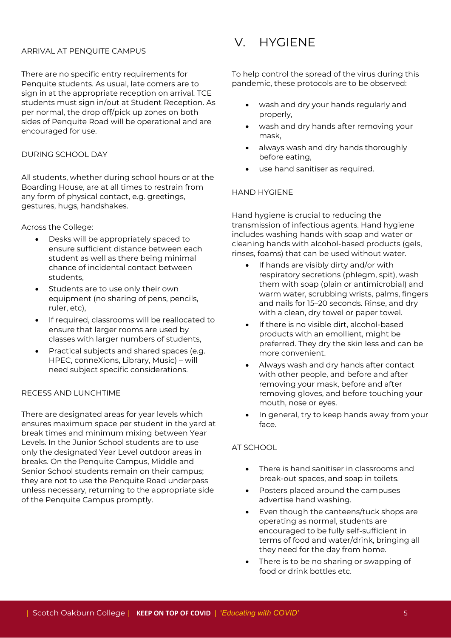#### ARRIVAL AT PENQUITE CAMPUS

There are no specific entry requirements for Penquite students. As usual, late comers are to sign in at the appropriate reception on arrival. TCE students must sign in/out at Student Reception. As per normal, the drop off/pick up zones on both sides of Penquite Road will be operational and are encouraged for use.

#### DURING SCHOOL DAY

All students, whether during school hours or at the Boarding House, are at all times to restrain from any form of physical contact, e.g. greetings, gestures, hugs, handshakes.

#### Across the College:

- Desks will be appropriately spaced to ensure sufficient distance between each student as well as there being minimal chance of incidental contact between students,
- Students are to use only their own equipment (no sharing of pens, pencils, ruler, etc),
- If required, classrooms will be reallocated to ensure that larger rooms are used by classes with larger numbers of students,
- Practical subjects and shared spaces (e.g. HPEC, conneXions, Library, Music) – will need subject specific considerations.

#### RECESS AND LUNCHTIME

There are designated areas for year levels which ensures maximum space per student in the yard at break times and minimum mixing between Year Levels. In the Junior School students are to use only the designated Year Level outdoor areas in breaks. On the Penquite Campus, Middle and Senior School students remain on their campus; they are not to use the Penquite Road underpass unless necessary, returning to the appropriate side of the Penquite Campus promptly.

### V. HYGIENE

To help control the spread of the virus during this pandemic, these protocols are to be observed:

- wash and dry your hands regularly and properly,
- wash and dry hands after removing your mask,
- always wash and dry hands thoroughly before eating,
- use hand sanitiser as required.

#### HAND HYGIENE

Hand hygiene is crucial to reducing the transmission of infectious agents. Hand hygiene includes washing hands with soap and water or cleaning hands with alcohol-based products (gels, rinses, foams) that can be used without water.

- If hands are visibly dirty and/or with respiratory secretions (phlegm, spit), wash them with soap (plain or antimicrobial) and warm water, scrubbing wrists, palms, fingers and nails for 15–20 seconds. Rinse, and dry with a clean, dry towel or paper towel.
- If there is no visible dirt, alcohol-based products with an emollient, might be preferred. They dry the skin less and can be more convenient.
- Always wash and dry hands after contact with other people, and before and after removing your mask, before and after removing gloves, and before touching your mouth, nose or eyes.
- In general, try to keep hands away from your face.

#### AT SCHOOL

- There is hand sanitiser in classrooms and break-out spaces, and soap in toilets.
- Posters placed around the campuses advertise hand washing.
- Even though the canteens/tuck shops are operating as normal, students are encouraged to be fully self-sufficient in terms of food and water/drink, bringing all they need for the day from home.
- There is to be no sharing or swapping of food or drink bottles etc.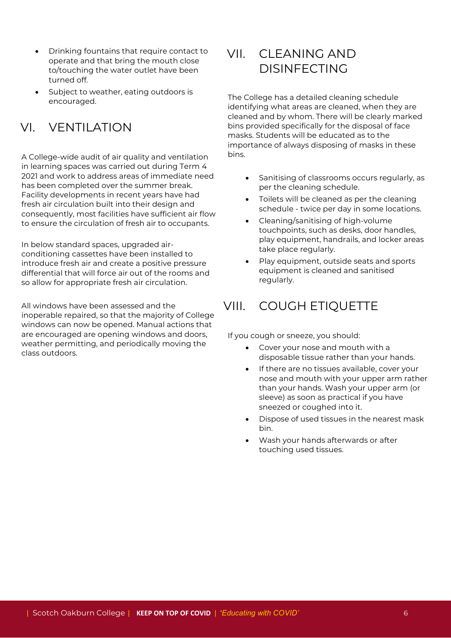- Drinking fountains that require contact to operate and that bring the mouth close to/touching the water outlet have been turned off.
- Subject to weather, eating outdoors is encouraged.

### VI. VENTILATION

A College-wide audit of air quality and ventilation in learning spaces was carried out during Term 4 2021 and work to address areas of immediate need has been completed over the summer break. Facility developments in recent years have had fresh air circulation built into their design and consequently, most facilities have sufficient air flow to ensure the circulation of fresh air to occupants.

In below standard spaces, upgraded airconditioning cassettes have been installed to introduce fresh air and create a positive pressure differential that will force air out of the rooms and so allow for appropriate fresh air circulation.

All windows have been assessed and the inoperable repaired, so that the majority of College windows can now be opened. Manual actions that are encouraged are opening windows and doors, weather permitting, and periodically moving the class outdoors.

### VII. CLEANING AND DISINFECTING

The College has a detailed cleaning schedule identifying what areas are cleaned, when they are cleaned and by whom. There will be clearly marked bins provided specifically for the disposal of face masks. Students will be educated as to the importance of always disposing of masks in these bins.

- Sanitising of classrooms occurs regularly, as per the cleaning schedule.
- Toilets will be cleaned as per the cleaning schedule - twice per day in some locations.
- Cleaning/sanitising of high-volume touchpoints, such as desks, door handles, play equipment, handrails, and locker areas take place regularly.
- Play equipment, outside seats and sports equipment is cleaned and sanitised regularly.

# VIII. COUGH ETIQUETTE

If you cough or sneeze, you should:

- Cover your nose and mouth with a disposable tissue rather than your hands.
- If there are no tissues available, cover your nose and mouth with your upper arm rather than your hands. Wash your upper arm (or sleeve) as soon as practical if you have sneezed or coughed into it.
- Dispose of used tissues in the nearest mask bin.
- Wash your hands afterwards or after touching used tissues.